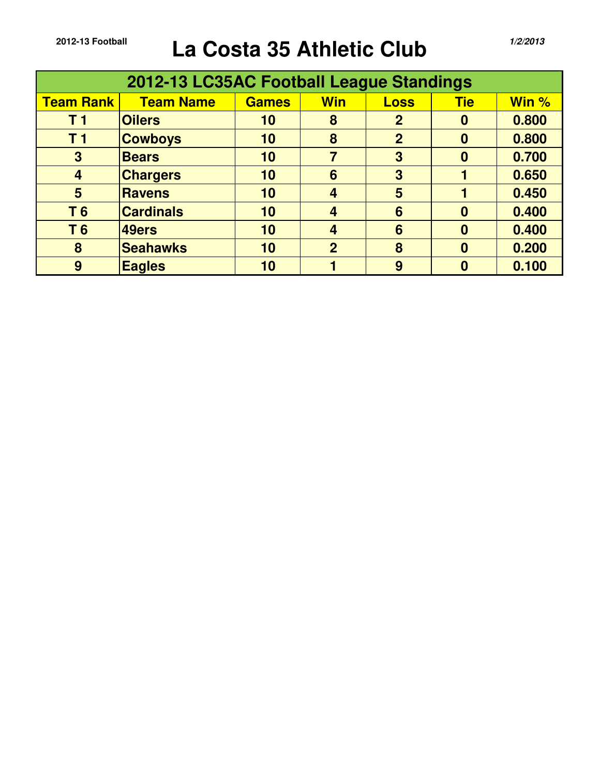## **2012-13 Football La Costa 35 Athletic Club** *1/2/2013*

|                  | 2012-13 LC35AC Football League Standings |              |                         |                |            |       |
|------------------|------------------------------------------|--------------|-------------------------|----------------|------------|-------|
| <b>Team Rank</b> | <b>Team Name</b>                         | <b>Games</b> | <b>Win</b>              | <b>Loss</b>    | <b>Tie</b> | Win % |
| T <sub>1</sub>   | <b>Oilers</b>                            | 10           | 8                       | $\overline{2}$ | $\bf{0}$   | 0.800 |
| T <sub>1</sub>   | <b>Cowboys</b>                           | 10           | 8                       | $\overline{2}$ | 0          | 0.800 |
| 3                | <b>Bears</b>                             | 10           | $\overline{7}$          | 3              | $\bf{0}$   | 0.700 |
| $\overline{4}$   | <b>Chargers</b>                          | 10           | 6                       | 3              |            | 0.650 |
| 5                | <b>Ravens</b>                            | 10           | $\overline{\mathbf{4}}$ | 5              |            | 0.450 |
| T <sub>6</sub>   | <b>Cardinals</b>                         | 10           | 4                       | 6              | 0          | 0.400 |
| T <sub>6</sub>   | 49ers                                    | 10           | 4                       | 6              | $\bf{0}$   | 0.400 |
| 8                | <b>Seahawks</b>                          | 10           | $\overline{2}$          | 8              | $\bf{0}$   | 0.200 |
| 9                | <b>Eagles</b>                            | 10           |                         | 9              |            | 0.100 |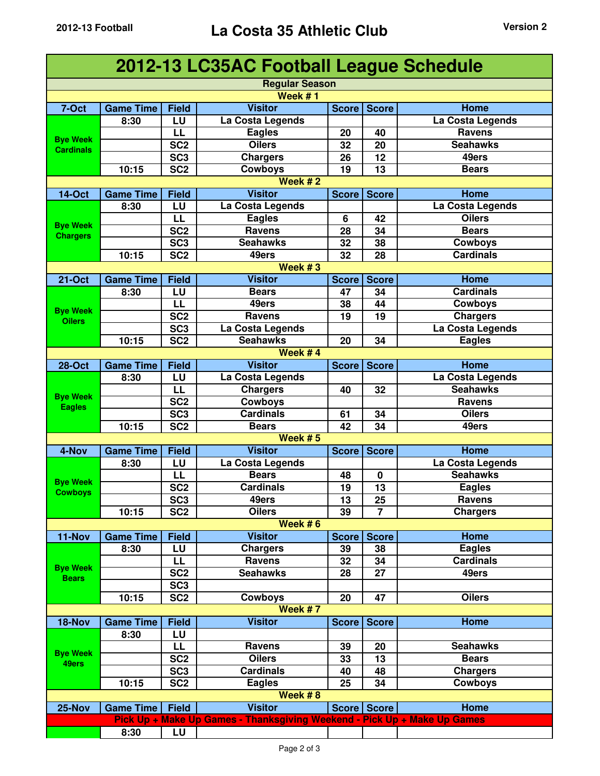|                  |                  |                 | 2012-13 LC35AC Football League Schedule                                  |              |                |                  |
|------------------|------------------|-----------------|--------------------------------------------------------------------------|--------------|----------------|------------------|
|                  |                  |                 | <b>Regular Season</b>                                                    |              |                |                  |
|                  |                  |                 | Week $#1$                                                                |              |                |                  |
| 7-Oct            | <b>Game Time</b> | <b>Field</b>    | <b>Visitor</b>                                                           | <b>Score</b> | <b>Score</b>   | <b>Home</b>      |
|                  | 8:30             | LU              | La Costa Legends                                                         |              |                | La Costa Legends |
|                  |                  | LL              | <b>Eagles</b>                                                            | 20           | 40             | <b>Ravens</b>    |
| <b>Bye Week</b>  |                  | SC <sub>2</sub> | <b>Oilers</b>                                                            | 32           | 20             | <b>Seahawks</b>  |
| <b>Cardinals</b> |                  | SC <sub>3</sub> | <b>Chargers</b>                                                          | 26           | 12             | 49ers            |
|                  | 10:15            | SC <sub>2</sub> | <b>Cowboys</b>                                                           | 19           | 13             | <b>Bears</b>     |
|                  |                  |                 | Week $#2$                                                                |              |                |                  |
| <b>14-Oct</b>    | <b>Game Time</b> | <b>Field</b>    | <b>Visitor</b>                                                           | <b>Score</b> | <b>Score</b>   | Home             |
|                  | 8:30             | LU              | La Costa Legends                                                         |              |                | La Costa Legends |
|                  |                  | LL              | <b>Eagles</b>                                                            | 6            | 42             | <b>Oilers</b>    |
| <b>Bye Week</b>  |                  | SC <sub>2</sub> | <b>Ravens</b>                                                            | 28           | 34             | <b>Bears</b>     |
| <b>Chargers</b>  |                  | SC <sub>3</sub> | <b>Seahawks</b>                                                          | 32           | 38             | <b>Cowboys</b>   |
|                  | 10:15            | SC <sub>2</sub> | 49ers                                                                    | 32           | 28             | <b>Cardinals</b> |
|                  |                  |                 | Week $#3$                                                                |              |                |                  |
| <b>21-Oct</b>    | <b>Game Time</b> | <b>Field</b>    | <b>Visitor</b>                                                           | <b>Score</b> | <b>Score</b>   | Home             |
|                  | 8:30             | LU              | <b>Bears</b>                                                             | 47           | 34             | <b>Cardinals</b> |
|                  |                  | LL              | 49ers                                                                    | 38           | 44             | <b>Cowboys</b>   |
| <b>Bye Week</b>  |                  | SC <sub>2</sub> | <b>Ravens</b>                                                            | 19           | 19             | <b>Chargers</b>  |
| <b>Oilers</b>    |                  | SC <sub>3</sub> | La Costa Legends                                                         |              |                | La Costa Legends |
|                  | 10:15            | SC <sub>2</sub> | <b>Seahawks</b>                                                          | 20           | 34             | <b>Eagles</b>    |
|                  |                  |                 | Week #4                                                                  |              |                |                  |
| <b>28-Oct</b>    | <b>Game Time</b> | <b>Field</b>    | <b>Visitor</b>                                                           | <b>Score</b> | <b>Score</b>   | Home             |
|                  | 8:30             | LU              | La Costa Legends                                                         |              |                | La Costa Legends |
|                  |                  | LL              | <b>Chargers</b>                                                          | 40           | 32             | <b>Seahawks</b>  |
| <b>Bye Week</b>  |                  | SC <sub>2</sub> | <b>Cowboys</b>                                                           |              |                | <b>Ravens</b>    |
| <b>Eagles</b>    |                  | SC <sub>3</sub> | <b>Cardinals</b>                                                         | 61           | 34             | <b>Oilers</b>    |
|                  | 10:15            | SC <sub>2</sub> | <b>Bears</b>                                                             | 42           | 34             | 49ers            |
|                  |                  |                 | Week #5                                                                  |              |                |                  |
| 4-Nov            | <b>Game Time</b> | <b>Field</b>    | <b>Visitor</b>                                                           | <b>Score</b> | <b>Score</b>   | <b>Home</b>      |
|                  | 8:30             | LU              | La Costa Legends                                                         |              |                | La Costa Legends |
|                  |                  | LL              | <b>Bears</b>                                                             | 48           | $\bf{0}$       | <b>Seahawks</b>  |
| <b>Bye Week</b>  |                  | SC <sub>2</sub> | <b>Cardinals</b>                                                         | 19           | 13             | <b>Eagles</b>    |
| <b>Cowboys</b>   |                  | SC <sub>3</sub> | 49ers                                                                    | 13           | 25             | <b>Ravens</b>    |
|                  | 10:15            | SC <sub>2</sub> | <b>Oilers</b>                                                            | 39           | $\overline{7}$ | <b>Chargers</b>  |
|                  |                  |                 | Week $# 6$                                                               |              |                |                  |
| 11-Nov           | <b>Game Time</b> | <b>Field</b>    | <b>Visitor</b>                                                           | <b>Score</b> | <b>Score</b>   | Home             |
|                  | 8:30             | LU              | <b>Chargers</b>                                                          | 39           | 38             | <b>Eagles</b>    |
|                  |                  | LL              | <b>Ravens</b>                                                            | 32           | 34             | <b>Cardinals</b> |
| <b>Bye Week</b>  |                  | SC <sub>2</sub> | <b>Seahawks</b>                                                          | 28           | 27             | 49ers            |
| <b>Bears</b>     |                  | SC <sub>3</sub> |                                                                          |              |                |                  |
|                  | 10:15            | SC <sub>2</sub> | <b>Cowboys</b>                                                           | 20           | 47             | <b>Oilers</b>    |
|                  |                  |                 | Week #7                                                                  |              |                |                  |
| 18-Nov           | <b>Game Time</b> | <b>Field</b>    | <b>Visitor</b>                                                           | <b>Score</b> | <b>Score</b>   | Home             |
|                  | 8:30             | LU              |                                                                          |              |                |                  |
|                  |                  | LL              | Ravens                                                                   | 39           | 20             | <b>Seahawks</b>  |
| <b>Bye Week</b>  |                  | SC <sub>2</sub> | <b>Oilers</b>                                                            | 33           | 13             | <b>Bears</b>     |
| 49ers            |                  | SC <sub>3</sub> | Cardinals                                                                | 40           | 48             | <b>Chargers</b>  |
|                  | 10:15            | SC <sub>2</sub> | <b>Eagles</b>                                                            | 25           | 34             | <b>Cowboys</b>   |
|                  |                  |                 | Week $# 8$                                                               |              |                |                  |
| 25-Nov           | <b>Game Time</b> | <b>Field</b>    | <b>Visitor</b>                                                           |              | Score Score    | Home             |
|                  |                  |                 | Pick Up + Make Up Games - Thanksgiving Weekend - Pick Up + Make Up Games |              |                |                  |
|                  | 8:30             | LU              |                                                                          |              |                |                  |